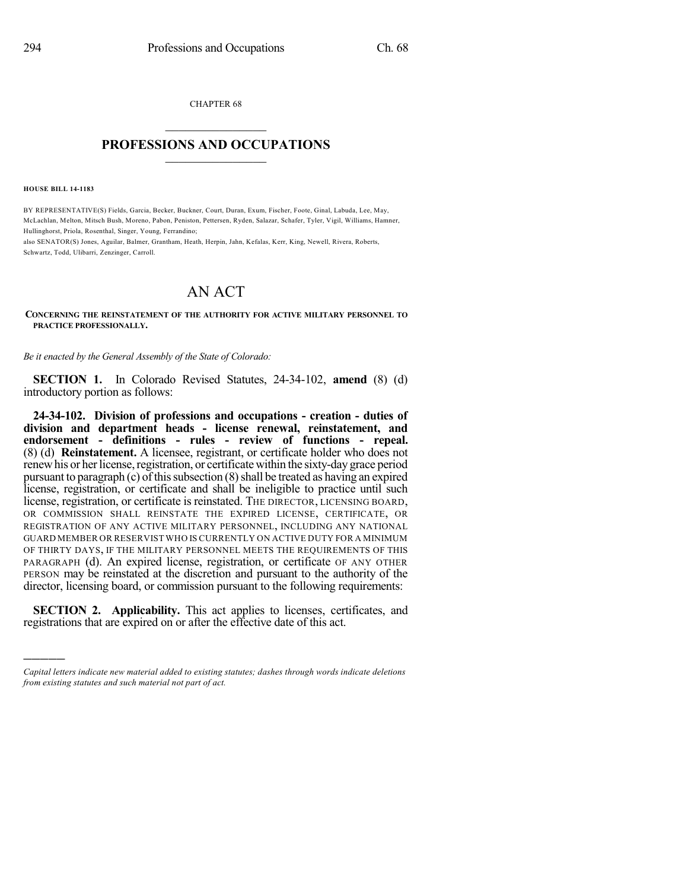CHAPTER 68  $\overline{\phantom{a}}$  . The set of the set of the set of the set of the set of the set of the set of the set of the set of the set of the set of the set of the set of the set of the set of the set of the set of the set of the set o

## **PROFESSIONS AND OCCUPATIONS**  $\frac{1}{2}$  ,  $\frac{1}{2}$  ,  $\frac{1}{2}$  ,  $\frac{1}{2}$  ,  $\frac{1}{2}$  ,  $\frac{1}{2}$  ,  $\frac{1}{2}$

**HOUSE BILL 14-1183**

)))))

BY REPRESENTATIVE(S) Fields, Garcia, Becker, Buckner, Court, Duran, Exum, Fischer, Foote, Ginal, Labuda, Lee, May, McLachlan, Melton, Mitsch Bush, Moreno, Pabon, Peniston, Pettersen, Ryden, Salazar, Schafer, Tyler, Vigil, Williams, Hamner, Hullinghorst, Priola, Rosenthal, Singer, Young, Ferrandino;

also SENATOR(S) Jones, Aguilar, Balmer, Grantham, Heath, Herpin, Jahn, Kefalas, Kerr, King, Newell, Rivera, Roberts, Schwartz, Todd, Ulibarri, Zenzinger, Carroll.

## AN ACT

**CONCERNING THE REINSTATEMENT OF THE AUTHORITY FOR ACTIVE MILITARY PERSONNEL TO PRACTICE PROFESSIONALLY.**

*Be it enacted by the General Assembly of the State of Colorado:*

**SECTION 1.** In Colorado Revised Statutes, 24-34-102, **amend** (8) (d) introductory portion as follows:

**24-34-102. Division of professions and occupations - creation - duties of division and department heads - license renewal, reinstatement, and endorsement - definitions - rules - review of functions - repeal.** (8) (d) **Reinstatement.** A licensee, registrant, or certificate holder who does not renewhis or her license, registration, or certificate within the sixty-day grace period pursuant to paragraph  $(c)$  of this subsection  $(8)$  shall be treated as having an expired license, registration, or certificate and shall be ineligible to practice until such license, registration, or certificate is reinstated. THE DIRECTOR, LICENSING BOARD, OR COMMISSION SHALL REINSTATE THE EXPIRED LICENSE, CERTIFICATE, OR REGISTRATION OF ANY ACTIVE MILITARY PERSONNEL, INCLUDING ANY NATIONAL GUARD MEMBER OR RESERVIST WHO IS CURRENTLY ON ACTIVE DUTY FOR A MINIMUM OF THIRTY DAYS, IF THE MILITARY PERSONNEL MEETS THE REQUIREMENTS OF THIS PARAGRAPH (d). An expired license, registration, or certificate OF ANY OTHER PERSON may be reinstated at the discretion and pursuant to the authority of the director, licensing board, or commission pursuant to the following requirements:

**SECTION 2. Applicability.** This act applies to licenses, certificates, and registrations that are expired on or after the effective date of this act.

*Capital letters indicate new material added to existing statutes; dashes through words indicate deletions from existing statutes and such material not part of act.*